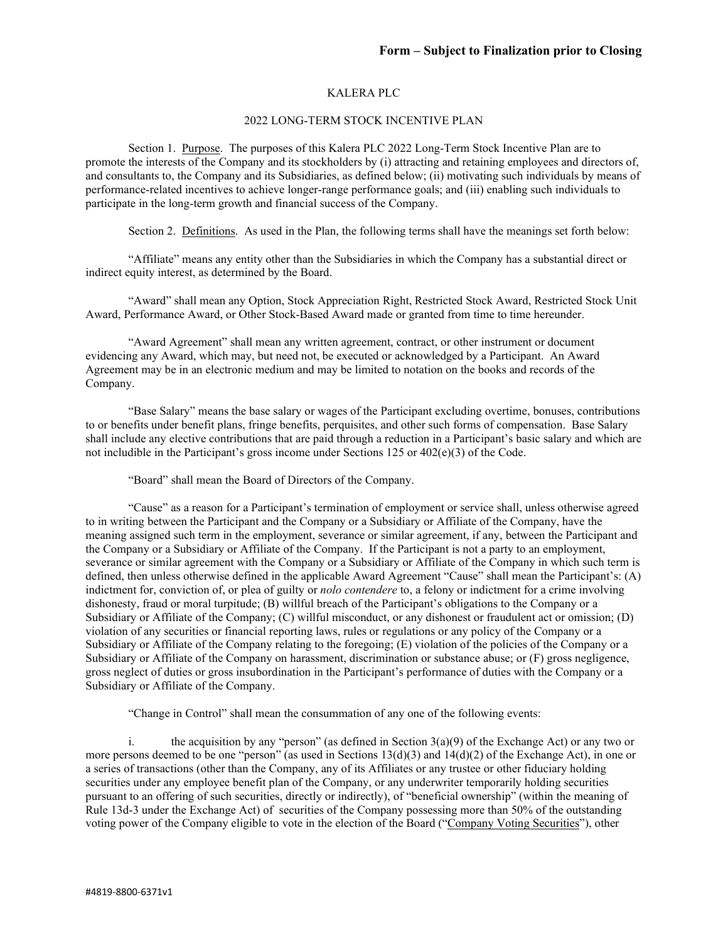### KALERA PLC

### 2022 LONG-TERM STOCK INCENTIVE PLAN

Section 1. Purpose. The purposes of this Kalera PLC 2022 Long-Term Stock Incentive Plan are to promote the interests of the Company and its stockholders by (i) attracting and retaining employees and directors of, and consultants to, the Company and its Subsidiaries, as defined below; (ii) motivating such individuals by means of performance-related incentives to achieve longer-range performance goals; and (iii) enabling such individuals to participate in the long-term growth and financial success of the Company.

Section 2. Definitions. As used in the Plan, the following terms shall have the meanings set forth below:

"Affiliate" means any entity other than the Subsidiaries in which the Company has a substantial direct or indirect equity interest, as determined by the Board.

"Award" shall mean any Option, Stock Appreciation Right, Restricted Stock Award, Restricted Stock Unit Award, Performance Award, or Other Stock-Based Award made or granted from time to time hereunder.

"Award Agreement" shall mean any written agreement, contract, or other instrument or document evidencing any Award, which may, but need not, be executed or acknowledged by a Participant. An Award Agreement may be in an electronic medium and may be limited to notation on the books and records of the Company.

"Base Salary" means the base salary or wages of the Participant excluding overtime, bonuses, contributions to or benefits under benefit plans, fringe benefits, perquisites, and other such forms of compensation. Base Salary shall include any elective contributions that are paid through a reduction in a Participant's basic salary and which are not includible in the Participant's gross income under Sections  $125$  or  $402(e)(3)$  of the Code.

"Board" shall mean the Board of Directors of the Company.

"Cause" as a reason for a Participant's termination of employment or service shall, unless otherwise agreed to in writing between the Participant and the Company or a Subsidiary or Affiliate of the Company, have the meaning assigned such term in the employment, severance or similar agreement, if any, between the Participant and the Company or a Subsidiary or Affiliate of the Company. If the Participant is not a party to an employment, severance or similar agreement with the Company or a Subsidiary or Affiliate of the Company in which such term is defined, then unless otherwise defined in the applicable Award Agreement "Cause" shall mean the Participant's: (A) indictment for, conviction of, or plea of guilty or *nolo contendere* to, a felony or indictment for a crime involving dishonesty, fraud or moral turpitude; (B) willful breach of the Participant's obligations to the Company or a Subsidiary or Affiliate of the Company; (C) willful misconduct, or any dishonest or fraudulent act or omission; (D) violation of any securities or financial reporting laws, rules or regulations or any policy of the Company or a Subsidiary or Affiliate of the Company relating to the foregoing; (E) violation of the policies of the Company or a Subsidiary or Affiliate of the Company on harassment, discrimination or substance abuse; or (F) gross negligence, gross neglect of duties or gross insubordination in the Participant's performance of duties with the Company or a Subsidiary or Affiliate of the Company.

"Change in Control" shall mean the consummation of any one of the following events:

i. the acquisition by any "person" (as defined in Section 3(a)(9) of the Exchange Act) or any two or more persons deemed to be one "person" (as used in Sections  $13(d)(3)$  and  $14(d)(2)$  of the Exchange Act), in one or a series of transactions (other than the Company, any of its Affiliates or any trustee or other fiduciary holding securities under any employee benefit plan of the Company, or any underwriter temporarily holding securities pursuant to an offering of such securities, directly or indirectly), of "beneficial ownership" (within the meaning of Rule 13d-3 under the Exchange Act) of securities of the Company possessing more than 50% of the outstanding voting power of the Company eligible to vote in the election of the Board ("Company Voting Securities"), other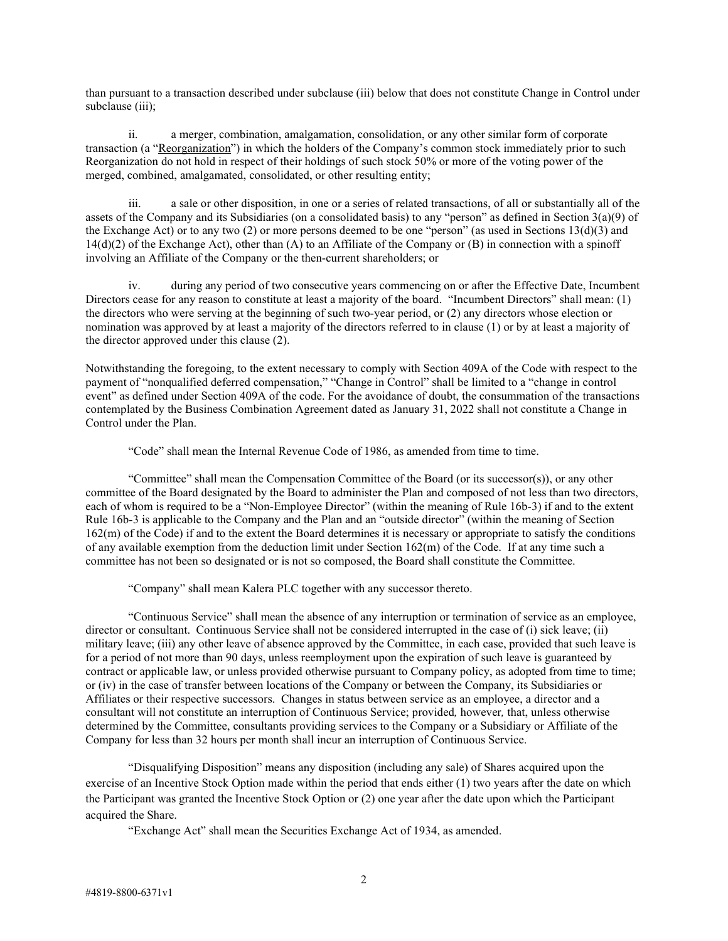than pursuant to a transaction described under subclause (iii) below that does not constitute Change in Control under subclause (iii):

ii. a merger, combination, amalgamation, consolidation, or any other similar form of corporate transaction (a "Reorganization") in which the holders of the Company's common stock immediately prior to such Reorganization do not hold in respect of their holdings of such stock 50% or more of the voting power of the merged, combined, amalgamated, consolidated, or other resulting entity;

iii. a sale or other disposition, in one or a series of related transactions, of all or substantially all of the assets of the Company and its Subsidiaries (on a consolidated basis) to any "person" as defined in Section 3(a)(9) of the Exchange Act) or to any two (2) or more persons deemed to be one "person" (as used in Sections 13(d)(3) and  $14(d)(2)$  of the Exchange Act), other than  $(A)$  to an Affiliate of the Company or  $(B)$  in connection with a spinoff involving an Affiliate of the Company or the then-current shareholders; or

iv. during any period of two consecutive years commencing on or after the Effective Date, Incumbent Directors cease for any reason to constitute at least a majority of the board. "Incumbent Directors" shall mean: (1) the directors who were serving at the beginning of such two-year period, or (2) any directors whose election or nomination was approved by at least a majority of the directors referred to in clause (1) or by at least a majority of the director approved under this clause (2).

Notwithstanding the foregoing, to the extent necessary to comply with Section 409A of the Code with respect to the payment of "nonqualified deferred compensation," "Change in Control" shall be limited to a "change in control event" as defined under Section 409A of the code. For the avoidance of doubt, the consummation of the transactions contemplated by the Business Combination Agreement dated as January 31, 2022 shall not constitute a Change in Control under the Plan.

"Code" shall mean the Internal Revenue Code of 1986, as amended from time to time.

"Committee" shall mean the Compensation Committee of the Board (or its successor(s)), or any other committee of the Board designated by the Board to administer the Plan and composed of not less than two directors, each of whom is required to be a "Non-Employee Director" (within the meaning of Rule 16b-3) if and to the extent Rule 16b-3 is applicable to the Company and the Plan and an "outside director" (within the meaning of Section 162(m) of the Code) if and to the extent the Board determines it is necessary or appropriate to satisfy the conditions of any available exemption from the deduction limit under Section 162(m) of the Code. If at any time such a committee has not been so designated or is not so composed, the Board shall constitute the Committee.

"Company" shall mean Kalera PLC together with any successor thereto.

"Continuous Service" shall mean the absence of any interruption or termination of service as an employee, director or consultant. Continuous Service shall not be considered interrupted in the case of (i) sick leave; (ii) military leave; (iii) any other leave of absence approved by the Committee, in each case, provided that such leave is for a period of not more than 90 days, unless reemployment upon the expiration of such leave is guaranteed by contract or applicable law, or unless provided otherwise pursuant to Company policy, as adopted from time to time; or (iv) in the case of transfer between locations of the Company or between the Company, its Subsidiaries or Affiliates or their respective successors. Changes in status between service as an employee, a director and a consultant will not constitute an interruption of Continuous Service; provided*,* however*,* that, unless otherwise determined by the Committee, consultants providing services to the Company or a Subsidiary or Affiliate of the Company for less than 32 hours per month shall incur an interruption of Continuous Service.

"Disqualifying Disposition" means any disposition (including any sale) of Shares acquired upon the exercise of an Incentive Stock Option made within the period that ends either (1) two years after the date on which the Participant was granted the Incentive Stock Option or (2) one year after the date upon which the Participant acquired the Share.

"Exchange Act" shall mean the Securities Exchange Act of 1934, as amended.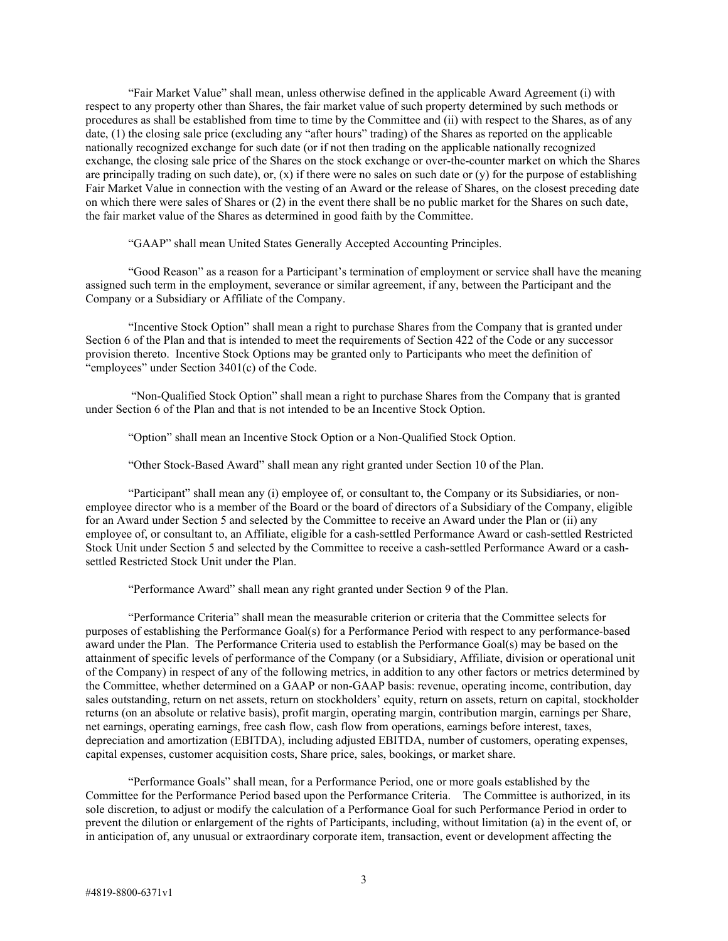"Fair Market Value" shall mean, unless otherwise defined in the applicable Award Agreement (i) with respect to any property other than Shares, the fair market value of such property determined by such methods or procedures as shall be established from time to time by the Committee and (ii) with respect to the Shares, as of any date, (1) the closing sale price (excluding any "after hours" trading) of the Shares as reported on the applicable nationally recognized exchange for such date (or if not then trading on the applicable nationally recognized exchange, the closing sale price of the Shares on the stock exchange or over-the-counter market on which the Shares are principally trading on such date), or,  $(x)$  if there were no sales on such date or  $(y)$  for the purpose of establishing Fair Market Value in connection with the vesting of an Award or the release of Shares, on the closest preceding date on which there were sales of Shares or (2) in the event there shall be no public market for the Shares on such date, the fair market value of the Shares as determined in good faith by the Committee.

"GAAP" shall mean United States Generally Accepted Accounting Principles.

"Good Reason" as a reason for a Participant's termination of employment or service shall have the meaning assigned such term in the employment, severance or similar agreement, if any, between the Participant and the Company or a Subsidiary or Affiliate of the Company.

"Incentive Stock Option" shall mean a right to purchase Shares from the Company that is granted under Section 6 of the Plan and that is intended to meet the requirements of Section 422 of the Code or any successor provision thereto. Incentive Stock Options may be granted only to Participants who meet the definition of "employees" under Section 3401(c) of the Code.

"Non-Qualified Stock Option" shall mean a right to purchase Shares from the Company that is granted under Section 6 of the Plan and that is not intended to be an Incentive Stock Option.

"Option" shall mean an Incentive Stock Option or a Non-Qualified Stock Option.

"Other Stock-Based Award" shall mean any right granted under Section 10 of the Plan.

"Participant" shall mean any (i) employee of, or consultant to, the Company or its Subsidiaries, or nonemployee director who is a member of the Board or the board of directors of a Subsidiary of the Company, eligible for an Award under Section 5 and selected by the Committee to receive an Award under the Plan or (ii) any employee of, or consultant to, an Affiliate, eligible for a cash-settled Performance Award or cash-settled Restricted Stock Unit under Section 5 and selected by the Committee to receive a cash-settled Performance Award or a cashsettled Restricted Stock Unit under the Plan.

"Performance Award" shall mean any right granted under Section 9 of the Plan.

"Performance Criteria" shall mean the measurable criterion or criteria that the Committee selects for purposes of establishing the Performance Goal(s) for a Performance Period with respect to any performance-based award under the Plan. The Performance Criteria used to establish the Performance Goal(s) may be based on the attainment of specific levels of performance of the Company (or a Subsidiary, Affiliate, division or operational unit of the Company) in respect of any of the following metrics, in addition to any other factors or metrics determined by the Committee, whether determined on a GAAP or non-GAAP basis: revenue, operating income, contribution, day sales outstanding, return on net assets, return on stockholders' equity, return on assets, return on capital, stockholder returns (on an absolute or relative basis), profit margin, operating margin, contribution margin, earnings per Share, net earnings, operating earnings, free cash flow, cash flow from operations, earnings before interest, taxes, depreciation and amortization (EBITDA), including adjusted EBITDA, number of customers, operating expenses, capital expenses, customer acquisition costs, Share price, sales, bookings, or market share.

"Performance Goals" shall mean, for a Performance Period, one or more goals established by the Committee for the Performance Period based upon the Performance Criteria. The Committee is authorized, in its sole discretion, to adjust or modify the calculation of a Performance Goal for such Performance Period in order to prevent the dilution or enlargement of the rights of Participants, including, without limitation (a) in the event of, or in anticipation of, any unusual or extraordinary corporate item, transaction, event or development affecting the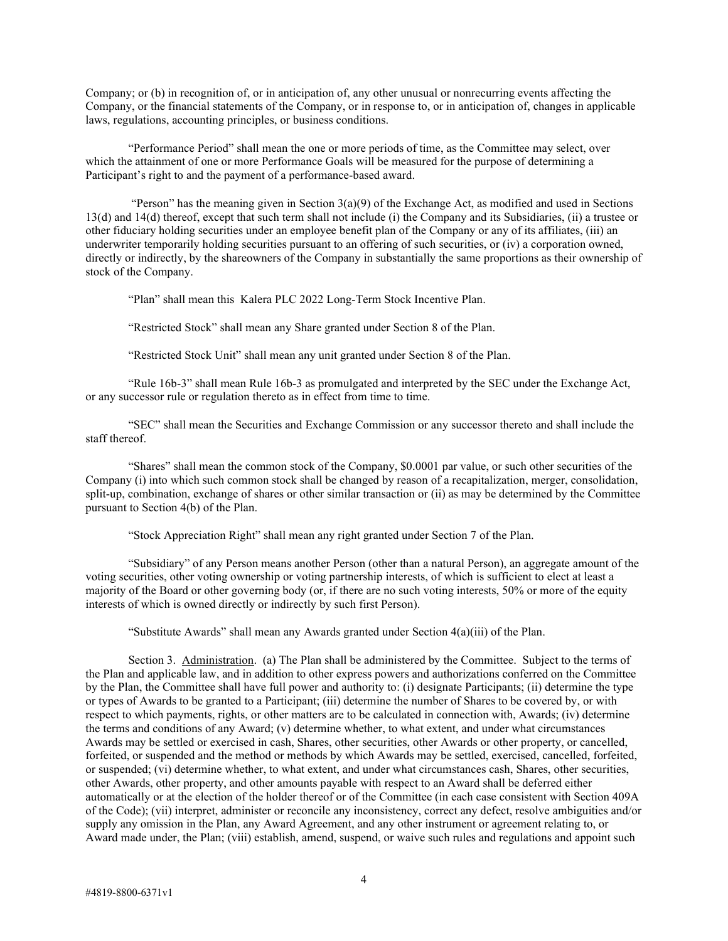Company; or (b) in recognition of, or in anticipation of, any other unusual or nonrecurring events affecting the Company, or the financial statements of the Company, or in response to, or in anticipation of, changes in applicable laws, regulations, accounting principles, or business conditions.

"Performance Period" shall mean the one or more periods of time, as the Committee may select, over which the attainment of one or more Performance Goals will be measured for the purpose of determining a Participant's right to and the payment of a performance-based award.

"Person" has the meaning given in Section  $3(a)(9)$  of the Exchange Act, as modified and used in Sections 13(d) and 14(d) thereof, except that such term shall not include (i) the Company and its Subsidiaries, (ii) a trustee or other fiduciary holding securities under an employee benefit plan of the Company or any of its affiliates, (iii) an underwriter temporarily holding securities pursuant to an offering of such securities, or (iv) a corporation owned, directly or indirectly, by the shareowners of the Company in substantially the same proportions as their ownership of stock of the Company.

"Plan" shall mean this Kalera PLC 2022 Long-Term Stock Incentive Plan.

"Restricted Stock" shall mean any Share granted under Section 8 of the Plan.

"Restricted Stock Unit" shall mean any unit granted under Section 8 of the Plan.

"Rule 16b-3" shall mean Rule 16b-3 as promulgated and interpreted by the SEC under the Exchange Act, or any successor rule or regulation thereto as in effect from time to time.

"SEC" shall mean the Securities and Exchange Commission or any successor thereto and shall include the staff thereof.

"Shares" shall mean the common stock of the Company, \$0.0001 par value, or such other securities of the Company (i) into which such common stock shall be changed by reason of a recapitalization, merger, consolidation, split-up, combination, exchange of shares or other similar transaction or (ii) as may be determined by the Committee pursuant to Section 4(b) of the Plan.

"Stock Appreciation Right" shall mean any right granted under Section 7 of the Plan.

"Subsidiary" of any Person means another Person (other than a natural Person), an aggregate amount of the voting securities, other voting ownership or voting partnership interests, of which is sufficient to elect at least a majority of the Board or other governing body (or, if there are no such voting interests, 50% or more of the equity interests of which is owned directly or indirectly by such first Person).

"Substitute Awards" shall mean any Awards granted under Section 4(a)(iii) of the Plan.

Section 3. Administration. (a) The Plan shall be administered by the Committee. Subject to the terms of the Plan and applicable law, and in addition to other express powers and authorizations conferred on the Committee by the Plan, the Committee shall have full power and authority to: (i) designate Participants; (ii) determine the type or types of Awards to be granted to a Participant; (iii) determine the number of Shares to be covered by, or with respect to which payments, rights, or other matters are to be calculated in connection with, Awards; (iv) determine the terms and conditions of any Award; (v) determine whether, to what extent, and under what circumstances Awards may be settled or exercised in cash, Shares, other securities, other Awards or other property, or cancelled, forfeited, or suspended and the method or methods by which Awards may be settled, exercised, cancelled, forfeited, or suspended; (vi) determine whether, to what extent, and under what circumstances cash, Shares, other securities, other Awards, other property, and other amounts payable with respect to an Award shall be deferred either automatically or at the election of the holder thereof or of the Committee (in each case consistent with Section 409A of the Code); (vii) interpret, administer or reconcile any inconsistency, correct any defect, resolve ambiguities and/or supply any omission in the Plan, any Award Agreement, and any other instrument or agreement relating to, or Award made under, the Plan; (viii) establish, amend, suspend, or waive such rules and regulations and appoint such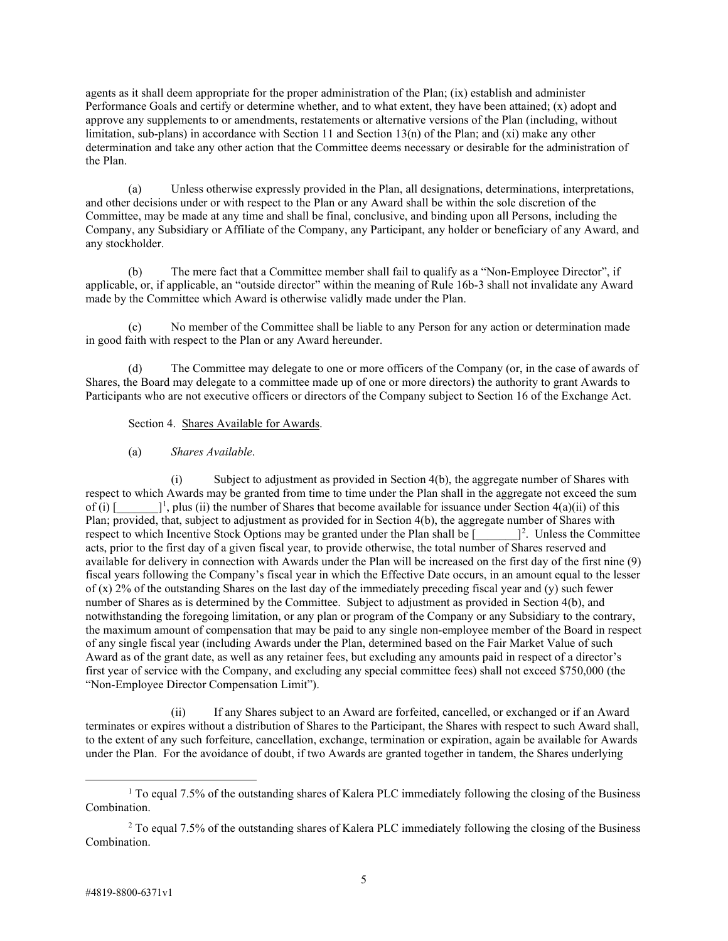agents as it shall deem appropriate for the proper administration of the Plan; (ix) establish and administer Performance Goals and certify or determine whether, and to what extent, they have been attained; (x) adopt and approve any supplements to or amendments, restatements or alternative versions of the Plan (including, without limitation, sub-plans) in accordance with Section 11 and Section 13(n) of the Plan; and (xi) make any other determination and take any other action that the Committee deems necessary or desirable for the administration of the Plan.

(a) Unless otherwise expressly provided in the Plan, all designations, determinations, interpretations, and other decisions under or with respect to the Plan or any Award shall be within the sole discretion of the Committee, may be made at any time and shall be final, conclusive, and binding upon all Persons, including the Company, any Subsidiary or Affiliate of the Company, any Participant, any holder or beneficiary of any Award, and any stockholder.

(b) The mere fact that a Committee member shall fail to qualify as a "Non-Employee Director", if applicable, or, if applicable, an "outside director" within the meaning of Rule 16b-3 shall not invalidate any Award made by the Committee which Award is otherwise validly made under the Plan.

(c) No member of the Committee shall be liable to any Person for any action or determination made in good faith with respect to the Plan or any Award hereunder.

(d) The Committee may delegate to one or more officers of the Company (or, in the case of awards of Shares, the Board may delegate to a committee made up of one or more directors) the authority to grant Awards to Participants who are not executive officers or directors of the Company subject to Section 16 of the Exchange Act.

### Section 4. Shares Available for Awards.

### (a) *Shares Available*.

(i) Subject to adjustment as provided in Section 4(b), the aggregate number of Shares with respect to which Awards may be granted from time to time under the Plan shall in the aggregate not exceed the sum of (i)  $\lceil$  $\vert$ <sup>1</sup>, plus (ii) the number of Shares that become available for issuance under Section 4(a)(ii) of this Plan; provided, that, subject to adjustment as provided for in Section 4(b), the aggregate number of Shares with respect to which Incentive Stock Options may be granted under the Plan shall be [  $\Box$ <sup>2</sup>. Unless the Committee acts, prior to the first day of a given fiscal year, to provide otherwise, the total number of Shares reserved and available for delivery in connection with Awards under the Plan will be increased on the first day of the first nine (9) fiscal years following the Company's fiscal year in which the Effective Date occurs, in an amount equal to the lesser of (x) 2% of the outstanding Shares on the last day of the immediately preceding fiscal year and (y) such fewer number of Shares as is determined by the Committee. Subject to adjustment as provided in Section 4(b), and notwithstanding the foregoing limitation, or any plan or program of the Company or any Subsidiary to the contrary, the maximum amount of compensation that may be paid to any single non-employee member of the Board in respect of any single fiscal year (including Awards under the Plan, determined based on the Fair Market Value of such Award as of the grant date, as well as any retainer fees, but excluding any amounts paid in respect of a director's first year of service with the Company, and excluding any special committee fees) shall not exceed \$750,000 (the "Non-Employee Director Compensation Limit").

(ii) If any Shares subject to an Award are forfeited, cancelled, or exchanged or if an Award terminates or expires without a distribution of Shares to the Participant, the Shares with respect to such Award shall, to the extent of any such forfeiture, cancellation, exchange, termination or expiration, again be available for Awards under the Plan. For the avoidance of doubt, if two Awards are granted together in tandem, the Shares underlying

<span id="page-4-0"></span> $1$  To equal 7.5% of the outstanding shares of Kalera PLC immediately following the closing of the Business Combination.

<span id="page-4-1"></span> $2$  To equal 7.5% of the outstanding shares of Kalera PLC immediately following the closing of the Business Combination.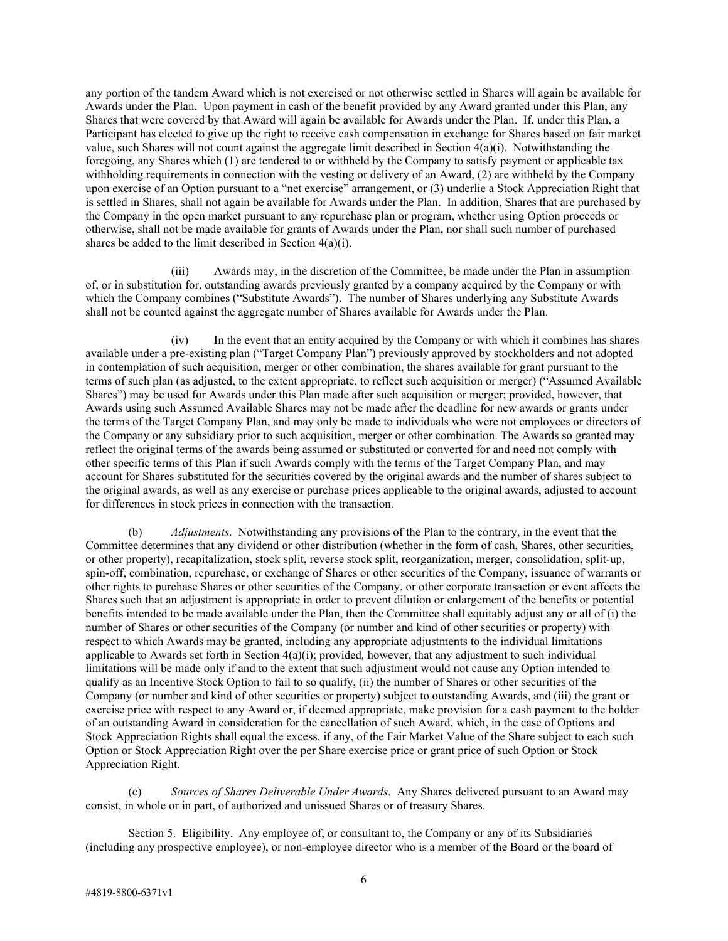any portion of the tandem Award which is not exercised or not otherwise settled in Shares will again be available for Awards under the Plan. Upon payment in cash of the benefit provided by any Award granted under this Plan, any Shares that were covered by that Award will again be available for Awards under the Plan. If, under this Plan, a Participant has elected to give up the right to receive cash compensation in exchange for Shares based on fair market value, such Shares will not count against the aggregate limit described in Section 4(a)(i). Notwithstanding the foregoing, any Shares which (1) are tendered to or withheld by the Company to satisfy payment or applicable tax withholding requirements in connection with the vesting or delivery of an Award, (2) are withheld by the Company upon exercise of an Option pursuant to a "net exercise" arrangement, or (3) underlie a Stock Appreciation Right that is settled in Shares, shall not again be available for Awards under the Plan. In addition, Shares that are purchased by the Company in the open market pursuant to any repurchase plan or program, whether using Option proceeds or otherwise, shall not be made available for grants of Awards under the Plan, nor shall such number of purchased shares be added to the limit described in Section 4(a)(i).

(iii) Awards may, in the discretion of the Committee, be made under the Plan in assumption of, or in substitution for, outstanding awards previously granted by a company acquired by the Company or with which the Company combines ("Substitute Awards"). The number of Shares underlying any Substitute Awards shall not be counted against the aggregate number of Shares available for Awards under the Plan.

(iv) In the event that an entity acquired by the Company or with which it combines has shares available under a pre-existing plan ("Target Company Plan") previously approved by stockholders and not adopted in contemplation of such acquisition, merger or other combination, the shares available for grant pursuant to the terms of such plan (as adjusted, to the extent appropriate, to reflect such acquisition or merger) ("Assumed Available Shares") may be used for Awards under this Plan made after such acquisition or merger; provided, however, that Awards using such Assumed Available Shares may not be made after the deadline for new awards or grants under the terms of the Target Company Plan, and may only be made to individuals who were not employees or directors of the Company or any subsidiary prior to such acquisition, merger or other combination. The Awards so granted may reflect the original terms of the awards being assumed or substituted or converted for and need not comply with other specific terms of this Plan if such Awards comply with the terms of the Target Company Plan, and may account for Shares substituted for the securities covered by the original awards and the number of shares subject to the original awards, as well as any exercise or purchase prices applicable to the original awards, adjusted to account for differences in stock prices in connection with the transaction.

(b) *Adjustments*. Notwithstanding any provisions of the Plan to the contrary, in the event that the Committee determines that any dividend or other distribution (whether in the form of cash, Shares, other securities, or other property), recapitalization, stock split, reverse stock split, reorganization, merger, consolidation, split-up, spin-off, combination, repurchase, or exchange of Shares or other securities of the Company, issuance of warrants or other rights to purchase Shares or other securities of the Company, or other corporate transaction or event affects the Shares such that an adjustment is appropriate in order to prevent dilution or enlargement of the benefits or potential benefits intended to be made available under the Plan, then the Committee shall equitably adjust any or all of (i) the number of Shares or other securities of the Company (or number and kind of other securities or property) with respect to which Awards may be granted, including any appropriate adjustments to the individual limitations applicable to Awards set forth in Section 4(a)(i); provided*,* however, that any adjustment to such individual limitations will be made only if and to the extent that such adjustment would not cause any Option intended to qualify as an Incentive Stock Option to fail to so qualify, (ii) the number of Shares or other securities of the Company (or number and kind of other securities or property) subject to outstanding Awards, and (iii) the grant or exercise price with respect to any Award or, if deemed appropriate, make provision for a cash payment to the holder of an outstanding Award in consideration for the cancellation of such Award, which, in the case of Options and Stock Appreciation Rights shall equal the excess, if any, of the Fair Market Value of the Share subject to each such Option or Stock Appreciation Right over the per Share exercise price or grant price of such Option or Stock Appreciation Right.

(c) *Sources of Shares Deliverable Under Awards*. Any Shares delivered pursuant to an Award may consist, in whole or in part, of authorized and unissued Shares or of treasury Shares.

Section 5. Eligibility. Any employee of, or consultant to, the Company or any of its Subsidiaries (including any prospective employee), or non-employee director who is a member of the Board or the board of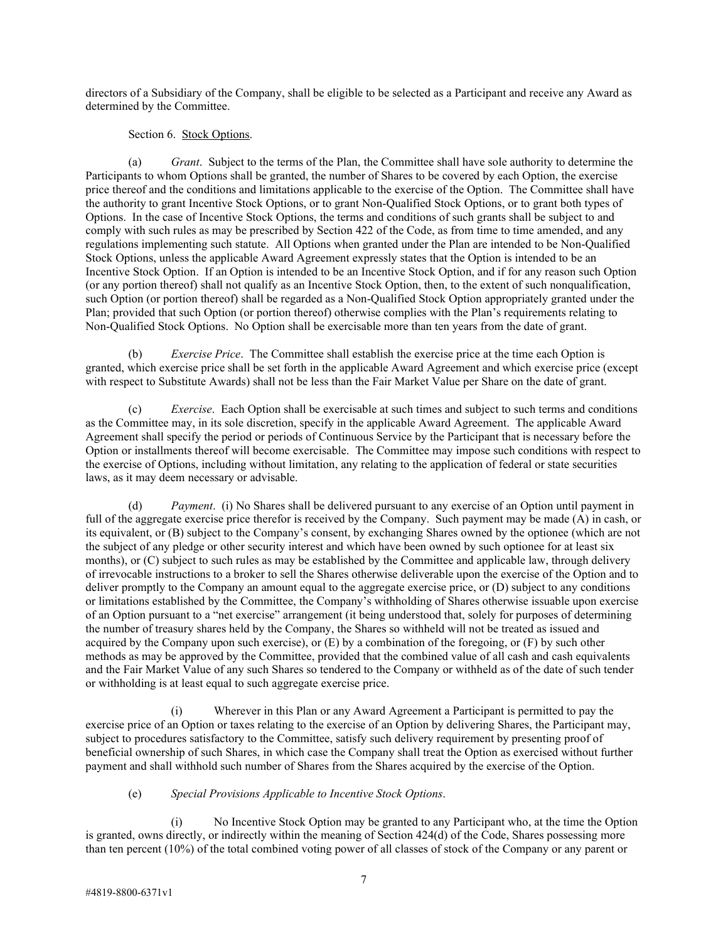directors of a Subsidiary of the Company, shall be eligible to be selected as a Participant and receive any Award as determined by the Committee.

Section 6. Stock Options.

(a) *Grant*. Subject to the terms of the Plan, the Committee shall have sole authority to determine the Participants to whom Options shall be granted, the number of Shares to be covered by each Option, the exercise price thereof and the conditions and limitations applicable to the exercise of the Option. The Committee shall have the authority to grant Incentive Stock Options, or to grant Non-Qualified Stock Options, or to grant both types of Options. In the case of Incentive Stock Options, the terms and conditions of such grants shall be subject to and comply with such rules as may be prescribed by Section 422 of the Code, as from time to time amended, and any regulations implementing such statute. All Options when granted under the Plan are intended to be Non-Qualified Stock Options, unless the applicable Award Agreement expressly states that the Option is intended to be an Incentive Stock Option. If an Option is intended to be an Incentive Stock Option, and if for any reason such Option (or any portion thereof) shall not qualify as an Incentive Stock Option, then, to the extent of such nonqualification, such Option (or portion thereof) shall be regarded as a Non-Qualified Stock Option appropriately granted under the Plan; provided that such Option (or portion thereof) otherwise complies with the Plan's requirements relating to Non-Qualified Stock Options. No Option shall be exercisable more than ten years from the date of grant.

(b) *Exercise Price*. The Committee shall establish the exercise price at the time each Option is granted, which exercise price shall be set forth in the applicable Award Agreement and which exercise price (except with respect to Substitute Awards) shall not be less than the Fair Market Value per Share on the date of grant.

(c) *Exercise*. Each Option shall be exercisable at such times and subject to such terms and conditions as the Committee may, in its sole discretion, specify in the applicable Award Agreement. The applicable Award Agreement shall specify the period or periods of Continuous Service by the Participant that is necessary before the Option or installments thereof will become exercisable. The Committee may impose such conditions with respect to the exercise of Options, including without limitation, any relating to the application of federal or state securities laws, as it may deem necessary or advisable.

(d) *Payment*. (i) No Shares shall be delivered pursuant to any exercise of an Option until payment in full of the aggregate exercise price therefor is received by the Company. Such payment may be made (A) in cash, or its equivalent, or (B) subject to the Company's consent, by exchanging Shares owned by the optionee (which are not the subject of any pledge or other security interest and which have been owned by such optionee for at least six months), or (C) subject to such rules as may be established by the Committee and applicable law, through delivery of irrevocable instructions to a broker to sell the Shares otherwise deliverable upon the exercise of the Option and to deliver promptly to the Company an amount equal to the aggregate exercise price, or (D) subject to any conditions or limitations established by the Committee, the Company's withholding of Shares otherwise issuable upon exercise of an Option pursuant to a "net exercise" arrangement (it being understood that, solely for purposes of determining the number of treasury shares held by the Company, the Shares so withheld will not be treated as issued and acquired by the Company upon such exercise), or  $(E)$  by a combination of the foregoing, or  $(F)$  by such other methods as may be approved by the Committee, provided that the combined value of all cash and cash equivalents and the Fair Market Value of any such Shares so tendered to the Company or withheld as of the date of such tender or withholding is at least equal to such aggregate exercise price.

(i) Wherever in this Plan or any Award Agreement a Participant is permitted to pay the exercise price of an Option or taxes relating to the exercise of an Option by delivering Shares, the Participant may, subject to procedures satisfactory to the Committee, satisfy such delivery requirement by presenting proof of beneficial ownership of such Shares, in which case the Company shall treat the Option as exercised without further payment and shall withhold such number of Shares from the Shares acquired by the exercise of the Option.

# (e) *Special Provisions Applicable to Incentive Stock Options*.

(i) No Incentive Stock Option may be granted to any Participant who, at the time the Option is granted, owns directly, or indirectly within the meaning of Section 424(d) of the Code, Shares possessing more than ten percent (10%) of the total combined voting power of all classes of stock of the Company or any parent or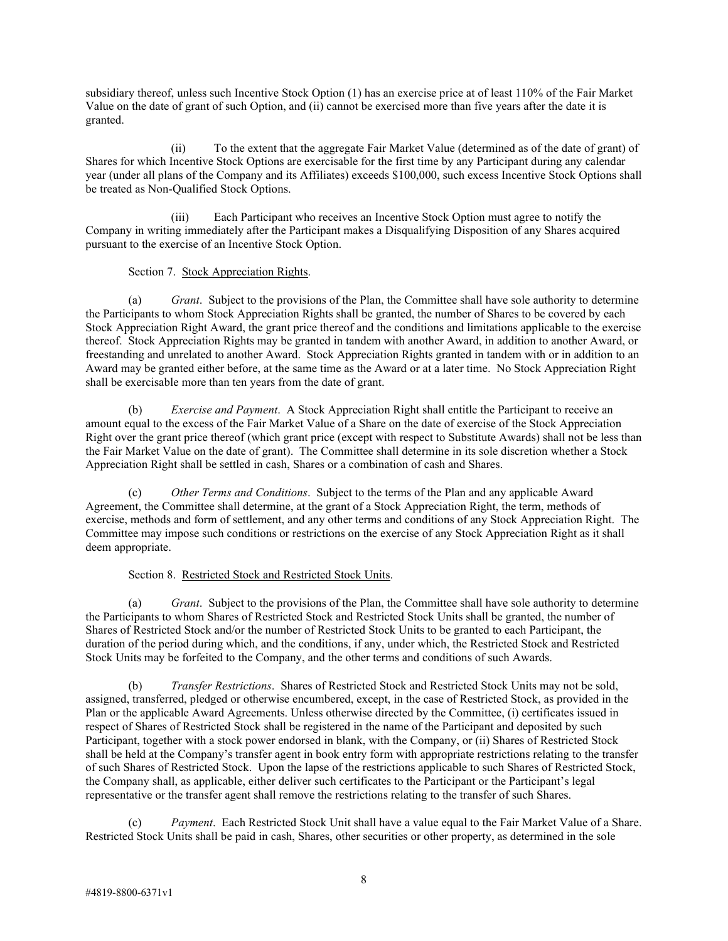subsidiary thereof, unless such Incentive Stock Option (1) has an exercise price at of least 110% of the Fair Market Value on the date of grant of such Option, and (ii) cannot be exercised more than five years after the date it is granted.

(ii) To the extent that the aggregate Fair Market Value (determined as of the date of grant) of Shares for which Incentive Stock Options are exercisable for the first time by any Participant during any calendar year (under all plans of the Company and its Affiliates) exceeds \$100,000, such excess Incentive Stock Options shall be treated as Non-Qualified Stock Options.

(iii) Each Participant who receives an Incentive Stock Option must agree to notify the Company in writing immediately after the Participant makes a Disqualifying Disposition of any Shares acquired pursuant to the exercise of an Incentive Stock Option.

# Section 7. Stock Appreciation Rights.

(a) *Grant*. Subject to the provisions of the Plan, the Committee shall have sole authority to determine the Participants to whom Stock Appreciation Rights shall be granted, the number of Shares to be covered by each Stock Appreciation Right Award, the grant price thereof and the conditions and limitations applicable to the exercise thereof. Stock Appreciation Rights may be granted in tandem with another Award, in addition to another Award, or freestanding and unrelated to another Award. Stock Appreciation Rights granted in tandem with or in addition to an Award may be granted either before, at the same time as the Award or at a later time. No Stock Appreciation Right shall be exercisable more than ten years from the date of grant.

(b) *Exercise and Payment*. A Stock Appreciation Right shall entitle the Participant to receive an amount equal to the excess of the Fair Market Value of a Share on the date of exercise of the Stock Appreciation Right over the grant price thereof (which grant price (except with respect to Substitute Awards) shall not be less than the Fair Market Value on the date of grant). The Committee shall determine in its sole discretion whether a Stock Appreciation Right shall be settled in cash, Shares or a combination of cash and Shares.

(c) *Other Terms and Conditions*. Subject to the terms of the Plan and any applicable Award Agreement, the Committee shall determine, at the grant of a Stock Appreciation Right, the term, methods of exercise, methods and form of settlement, and any other terms and conditions of any Stock Appreciation Right. The Committee may impose such conditions or restrictions on the exercise of any Stock Appreciation Right as it shall deem appropriate.

# Section 8. Restricted Stock and Restricted Stock Units.

(a) *Grant*. Subject to the provisions of the Plan, the Committee shall have sole authority to determine the Participants to whom Shares of Restricted Stock and Restricted Stock Units shall be granted, the number of Shares of Restricted Stock and/or the number of Restricted Stock Units to be granted to each Participant, the duration of the period during which, and the conditions, if any, under which, the Restricted Stock and Restricted Stock Units may be forfeited to the Company, and the other terms and conditions of such Awards.

(b) *Transfer Restrictions*. Shares of Restricted Stock and Restricted Stock Units may not be sold, assigned, transferred, pledged or otherwise encumbered, except, in the case of Restricted Stock, as provided in the Plan or the applicable Award Agreements. Unless otherwise directed by the Committee, (i) certificates issued in respect of Shares of Restricted Stock shall be registered in the name of the Participant and deposited by such Participant, together with a stock power endorsed in blank, with the Company, or (ii) Shares of Restricted Stock shall be held at the Company's transfer agent in book entry form with appropriate restrictions relating to the transfer of such Shares of Restricted Stock. Upon the lapse of the restrictions applicable to such Shares of Restricted Stock, the Company shall, as applicable, either deliver such certificates to the Participant or the Participant's legal representative or the transfer agent shall remove the restrictions relating to the transfer of such Shares.

Payment. Each Restricted Stock Unit shall have a value equal to the Fair Market Value of a Share. Restricted Stock Units shall be paid in cash, Shares, other securities or other property, as determined in the sole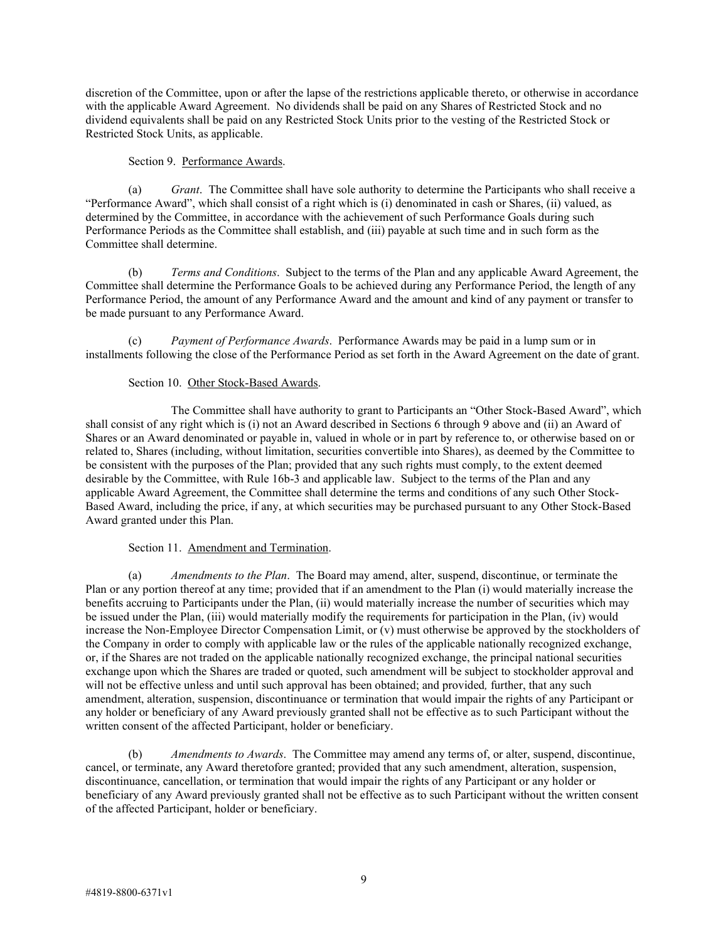discretion of the Committee, upon or after the lapse of the restrictions applicable thereto, or otherwise in accordance with the applicable Award Agreement. No dividends shall be paid on any Shares of Restricted Stock and no dividend equivalents shall be paid on any Restricted Stock Units prior to the vesting of the Restricted Stock or Restricted Stock Units, as applicable.

#### Section 9. Performance Awards.

(a) *Grant*. The Committee shall have sole authority to determine the Participants who shall receive a "Performance Award", which shall consist of a right which is (i) denominated in cash or Shares, (ii) valued, as determined by the Committee, in accordance with the achievement of such Performance Goals during such Performance Periods as the Committee shall establish, and (iii) payable at such time and in such form as the Committee shall determine.

(b) *Terms and Conditions*. Subject to the terms of the Plan and any applicable Award Agreement, the Committee shall determine the Performance Goals to be achieved during any Performance Period, the length of any Performance Period, the amount of any Performance Award and the amount and kind of any payment or transfer to be made pursuant to any Performance Award.

(c) *Payment of Performance Awards*. Performance Awards may be paid in a lump sum or in installments following the close of the Performance Period as set forth in the Award Agreement on the date of grant.

### Section 10. Other Stock-Based Awards.

 The Committee shall have authority to grant to Participants an "Other Stock-Based Award", which shall consist of any right which is (i) not an Award described in Sections 6 through 9 above and (ii) an Award of Shares or an Award denominated or payable in, valued in whole or in part by reference to, or otherwise based on or related to, Shares (including, without limitation, securities convertible into Shares), as deemed by the Committee to be consistent with the purposes of the Plan; provided that any such rights must comply, to the extent deemed desirable by the Committee, with Rule 16b-3 and applicable law. Subject to the terms of the Plan and any applicable Award Agreement, the Committee shall determine the terms and conditions of any such Other Stock-Based Award, including the price, if any, at which securities may be purchased pursuant to any Other Stock-Based Award granted under this Plan.

### Section 11. Amendment and Termination.

(a) *Amendments to the Plan*. The Board may amend, alter, suspend, discontinue, or terminate the Plan or any portion thereof at any time; provided that if an amendment to the Plan (i) would materially increase the benefits accruing to Participants under the Plan, (ii) would materially increase the number of securities which may be issued under the Plan, (iii) would materially modify the requirements for participation in the Plan, (iv) would increase the Non-Employee Director Compensation Limit, or (v) must otherwise be approved by the stockholders of the Company in order to comply with applicable law or the rules of the applicable nationally recognized exchange, or, if the Shares are not traded on the applicable nationally recognized exchange, the principal national securities exchange upon which the Shares are traded or quoted, such amendment will be subject to stockholder approval and will not be effective unless and until such approval has been obtained; and provided*,* further, that any such amendment, alteration, suspension, discontinuance or termination that would impair the rights of any Participant or any holder or beneficiary of any Award previously granted shall not be effective as to such Participant without the written consent of the affected Participant, holder or beneficiary.

(b) *Amendments to Awards*. The Committee may amend any terms of, or alter, suspend, discontinue, cancel, or terminate, any Award theretofore granted; provided that any such amendment, alteration, suspension, discontinuance, cancellation, or termination that would impair the rights of any Participant or any holder or beneficiary of any Award previously granted shall not be effective as to such Participant without the written consent of the affected Participant, holder or beneficiary.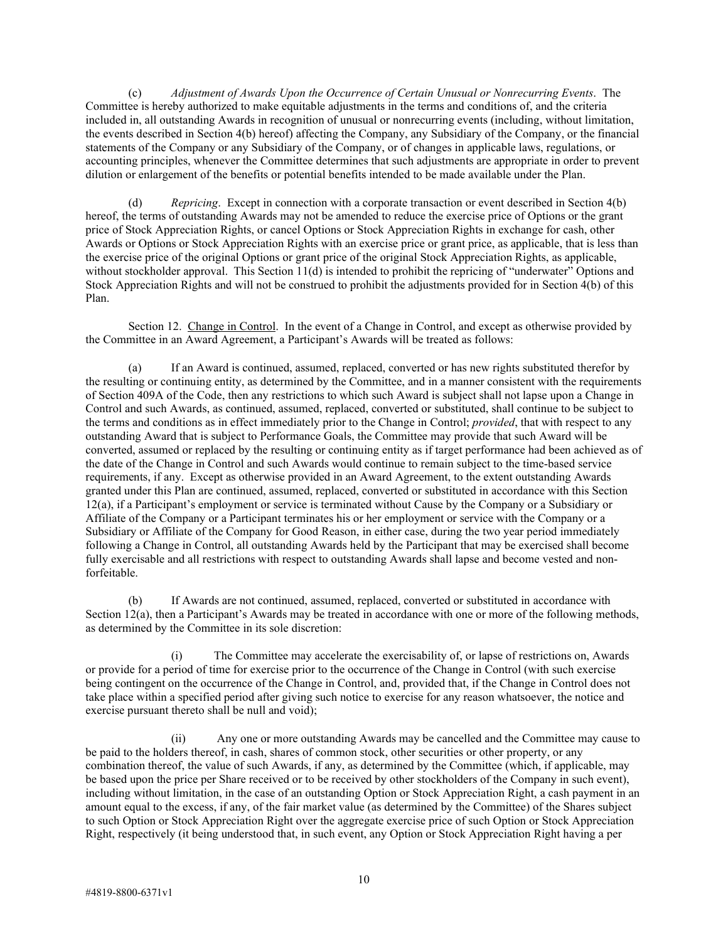(c) *Adjustment of Awards Upon the Occurrence of Certain Unusual or Nonrecurring Events*. The Committee is hereby authorized to make equitable adjustments in the terms and conditions of, and the criteria included in, all outstanding Awards in recognition of unusual or nonrecurring events (including, without limitation, the events described in Section 4(b) hereof) affecting the Company, any Subsidiary of the Company, or the financial statements of the Company or any Subsidiary of the Company, or of changes in applicable laws, regulations, or accounting principles, whenever the Committee determines that such adjustments are appropriate in order to prevent dilution or enlargement of the benefits or potential benefits intended to be made available under the Plan.

(d) *Repricing*. Except in connection with a corporate transaction or event described in Section 4(b) hereof, the terms of outstanding Awards may not be amended to reduce the exercise price of Options or the grant price of Stock Appreciation Rights, or cancel Options or Stock Appreciation Rights in exchange for cash, other Awards or Options or Stock Appreciation Rights with an exercise price or grant price, as applicable, that is less than the exercise price of the original Options or grant price of the original Stock Appreciation Rights, as applicable, without stockholder approval. This Section 11(d) is intended to prohibit the repricing of "underwater" Options and Stock Appreciation Rights and will not be construed to prohibit the adjustments provided for in Section 4(b) of this Plan.

Section 12. Change in Control. In the event of a Change in Control, and except as otherwise provided by the Committee in an Award Agreement, a Participant's Awards will be treated as follows:

(a) If an Award is continued, assumed, replaced, converted or has new rights substituted therefor by the resulting or continuing entity, as determined by the Committee, and in a manner consistent with the requirements of Section 409A of the Code, then any restrictions to which such Award is subject shall not lapse upon a Change in Control and such Awards, as continued, assumed, replaced, converted or substituted, shall continue to be subject to the terms and conditions as in effect immediately prior to the Change in Control; *provided*, that with respect to any outstanding Award that is subject to Performance Goals, the Committee may provide that such Award will be converted, assumed or replaced by the resulting or continuing entity as if target performance had been achieved as of the date of the Change in Control and such Awards would continue to remain subject to the time-based service requirements, if any. Except as otherwise provided in an Award Agreement, to the extent outstanding Awards granted under this Plan are continued, assumed, replaced, converted or substituted in accordance with this Section 12(a), if a Participant's employment or service is terminated without Cause by the Company or a Subsidiary or Affiliate of the Company or a Participant terminates his or her employment or service with the Company or a Subsidiary or Affiliate of the Company for Good Reason, in either case, during the two year period immediately following a Change in Control, all outstanding Awards held by the Participant that may be exercised shall become fully exercisable and all restrictions with respect to outstanding Awards shall lapse and become vested and nonforfeitable.

(b) If Awards are not continued, assumed, replaced, converted or substituted in accordance with Section 12(a), then a Participant's Awards may be treated in accordance with one or more of the following methods, as determined by the Committee in its sole discretion:

(i) The Committee may accelerate the exercisability of, or lapse of restrictions on, Awards or provide for a period of time for exercise prior to the occurrence of the Change in Control (with such exercise being contingent on the occurrence of the Change in Control, and, provided that, if the Change in Control does not take place within a specified period after giving such notice to exercise for any reason whatsoever, the notice and exercise pursuant thereto shall be null and void);

(ii) Any one or more outstanding Awards may be cancelled and the Committee may cause to be paid to the holders thereof, in cash, shares of common stock, other securities or other property, or any combination thereof, the value of such Awards, if any, as determined by the Committee (which, if applicable, may be based upon the price per Share received or to be received by other stockholders of the Company in such event), including without limitation, in the case of an outstanding Option or Stock Appreciation Right, a cash payment in an amount equal to the excess, if any, of the fair market value (as determined by the Committee) of the Shares subject to such Option or Stock Appreciation Right over the aggregate exercise price of such Option or Stock Appreciation Right, respectively (it being understood that, in such event, any Option or Stock Appreciation Right having a per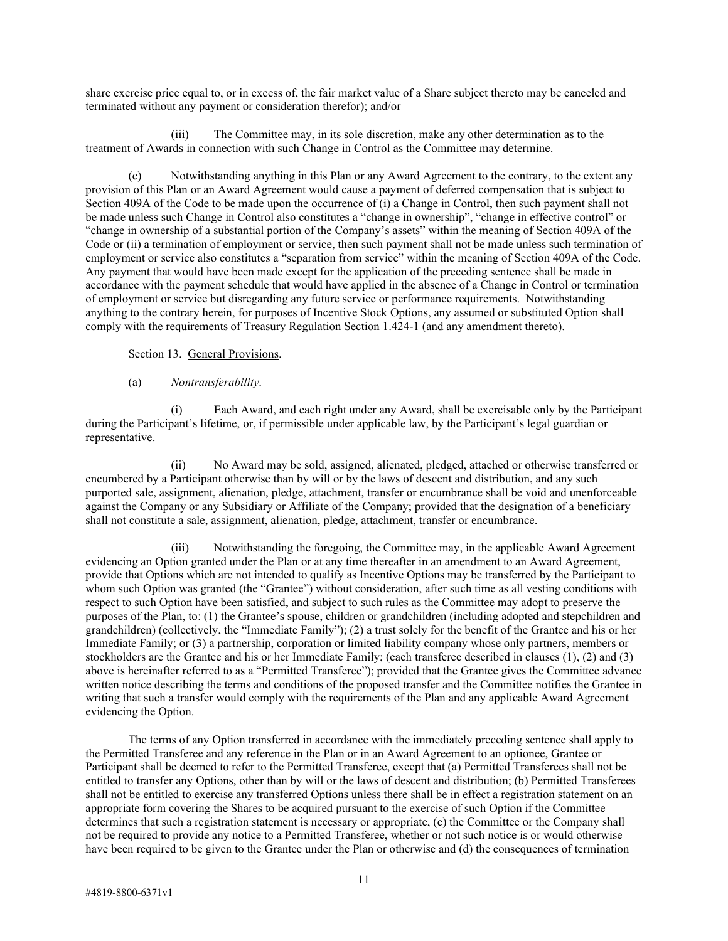share exercise price equal to, or in excess of, the fair market value of a Share subject thereto may be canceled and terminated without any payment or consideration therefor); and/or

(iii) The Committee may, in its sole discretion, make any other determination as to the treatment of Awards in connection with such Change in Control as the Committee may determine.

(c) Notwithstanding anything in this Plan or any Award Agreement to the contrary, to the extent any provision of this Plan or an Award Agreement would cause a payment of deferred compensation that is subject to Section 409A of the Code to be made upon the occurrence of (i) a Change in Control, then such payment shall not be made unless such Change in Control also constitutes a "change in ownership", "change in effective control" or "change in ownership of a substantial portion of the Company's assets" within the meaning of Section 409A of the Code or (ii) a termination of employment or service, then such payment shall not be made unless such termination of employment or service also constitutes a "separation from service" within the meaning of Section 409A of the Code. Any payment that would have been made except for the application of the preceding sentence shall be made in accordance with the payment schedule that would have applied in the absence of a Change in Control or termination of employment or service but disregarding any future service or performance requirements. Notwithstanding anything to the contrary herein, for purposes of Incentive Stock Options, any assumed or substituted Option shall comply with the requirements of Treasury Regulation Section 1.424-1 (and any amendment thereto).

Section 13. General Provisions.

#### (a) *Nontransferability*.

(i) Each Award, and each right under any Award, shall be exercisable only by the Participant during the Participant's lifetime, or, if permissible under applicable law, by the Participant's legal guardian or representative.

(ii) No Award may be sold, assigned, alienated, pledged, attached or otherwise transferred or encumbered by a Participant otherwise than by will or by the laws of descent and distribution, and any such purported sale, assignment, alienation, pledge, attachment, transfer or encumbrance shall be void and unenforceable against the Company or any Subsidiary or Affiliate of the Company; provided that the designation of a beneficiary shall not constitute a sale, assignment, alienation, pledge, attachment, transfer or encumbrance.

(iii) Notwithstanding the foregoing, the Committee may, in the applicable Award Agreement evidencing an Option granted under the Plan or at any time thereafter in an amendment to an Award Agreement, provide that Options which are not intended to qualify as Incentive Options may be transferred by the Participant to whom such Option was granted (the "Grantee") without consideration, after such time as all vesting conditions with respect to such Option have been satisfied, and subject to such rules as the Committee may adopt to preserve the purposes of the Plan, to: (1) the Grantee's spouse, children or grandchildren (including adopted and stepchildren and grandchildren) (collectively, the "Immediate Family"); (2) a trust solely for the benefit of the Grantee and his or her Immediate Family; or (3) a partnership, corporation or limited liability company whose only partners, members or stockholders are the Grantee and his or her Immediate Family; (each transferee described in clauses (1), (2) and (3) above is hereinafter referred to as a "Permitted Transferee"); provided that the Grantee gives the Committee advance written notice describing the terms and conditions of the proposed transfer and the Committee notifies the Grantee in writing that such a transfer would comply with the requirements of the Plan and any applicable Award Agreement evidencing the Option.

The terms of any Option transferred in accordance with the immediately preceding sentence shall apply to the Permitted Transferee and any reference in the Plan or in an Award Agreement to an optionee, Grantee or Participant shall be deemed to refer to the Permitted Transferee, except that (a) Permitted Transferees shall not be entitled to transfer any Options, other than by will or the laws of descent and distribution; (b) Permitted Transferees shall not be entitled to exercise any transferred Options unless there shall be in effect a registration statement on an appropriate form covering the Shares to be acquired pursuant to the exercise of such Option if the Committee determines that such a registration statement is necessary or appropriate, (c) the Committee or the Company shall not be required to provide any notice to a Permitted Transferee, whether or not such notice is or would otherwise have been required to be given to the Grantee under the Plan or otherwise and (d) the consequences of termination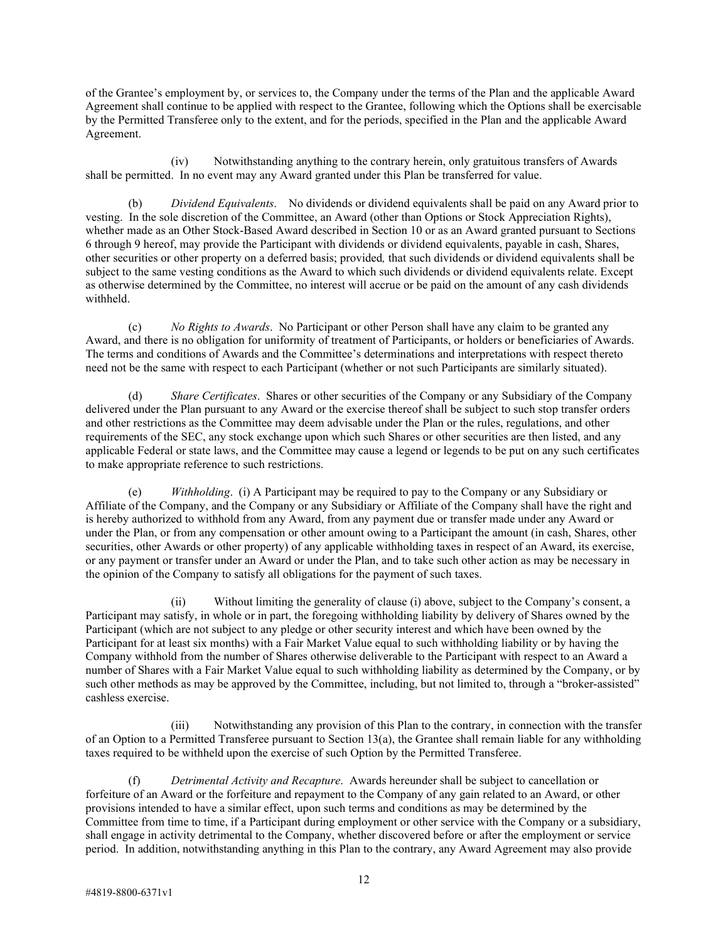of the Grantee's employment by, or services to, the Company under the terms of the Plan and the applicable Award Agreement shall continue to be applied with respect to the Grantee, following which the Options shall be exercisable by the Permitted Transferee only to the extent, and for the periods, specified in the Plan and the applicable Award Agreement.

(iv) Notwithstanding anything to the contrary herein, only gratuitous transfers of Awards shall be permitted. In no event may any Award granted under this Plan be transferred for value.

(b) *Dividend Equivalents*. No dividends or dividend equivalents shall be paid on any Award prior to vesting. In the sole discretion of the Committee, an Award (other than Options or Stock Appreciation Rights), whether made as an Other Stock-Based Award described in Section 10 or as an Award granted pursuant to Sections 6 through 9 hereof, may provide the Participant with dividends or dividend equivalents, payable in cash, Shares, other securities or other property on a deferred basis; provided*,* that such dividends or dividend equivalents shall be subject to the same vesting conditions as the Award to which such dividends or dividend equivalents relate. Except as otherwise determined by the Committee, no interest will accrue or be paid on the amount of any cash dividends withheld.

(c) *No Rights to Awards*. No Participant or other Person shall have any claim to be granted any Award, and there is no obligation for uniformity of treatment of Participants, or holders or beneficiaries of Awards. The terms and conditions of Awards and the Committee's determinations and interpretations with respect thereto need not be the same with respect to each Participant (whether or not such Participants are similarly situated).

(d) *Share Certificates*. Shares or other securities of the Company or any Subsidiary of the Company delivered under the Plan pursuant to any Award or the exercise thereof shall be subject to such stop transfer orders and other restrictions as the Committee may deem advisable under the Plan or the rules, regulations, and other requirements of the SEC, any stock exchange upon which such Shares or other securities are then listed, and any applicable Federal or state laws, and the Committee may cause a legend or legends to be put on any such certificates to make appropriate reference to such restrictions.

(e) *Withholding*. (i) A Participant may be required to pay to the Company or any Subsidiary or Affiliate of the Company, and the Company or any Subsidiary or Affiliate of the Company shall have the right and is hereby authorized to withhold from any Award, from any payment due or transfer made under any Award or under the Plan, or from any compensation or other amount owing to a Participant the amount (in cash, Shares, other securities, other Awards or other property) of any applicable withholding taxes in respect of an Award, its exercise, or any payment or transfer under an Award or under the Plan, and to take such other action as may be necessary in the opinion of the Company to satisfy all obligations for the payment of such taxes.

(ii) Without limiting the generality of clause (i) above, subject to the Company's consent, a Participant may satisfy, in whole or in part, the foregoing withholding liability by delivery of Shares owned by the Participant (which are not subject to any pledge or other security interest and which have been owned by the Participant for at least six months) with a Fair Market Value equal to such withholding liability or by having the Company withhold from the number of Shares otherwise deliverable to the Participant with respect to an Award a number of Shares with a Fair Market Value equal to such withholding liability as determined by the Company, or by such other methods as may be approved by the Committee, including, but not limited to, through a "broker-assisted" cashless exercise.

(iii) Notwithstanding any provision of this Plan to the contrary, in connection with the transfer of an Option to a Permitted Transferee pursuant to Section 13(a), the Grantee shall remain liable for any withholding taxes required to be withheld upon the exercise of such Option by the Permitted Transferee.

(f) *Detrimental Activity and Recapture*. Awards hereunder shall be subject to cancellation or forfeiture of an Award or the forfeiture and repayment to the Company of any gain related to an Award, or other provisions intended to have a similar effect, upon such terms and conditions as may be determined by the Committee from time to time, if a Participant during employment or other service with the Company or a subsidiary, shall engage in activity detrimental to the Company, whether discovered before or after the employment or service period. In addition, notwithstanding anything in this Plan to the contrary, any Award Agreement may also provide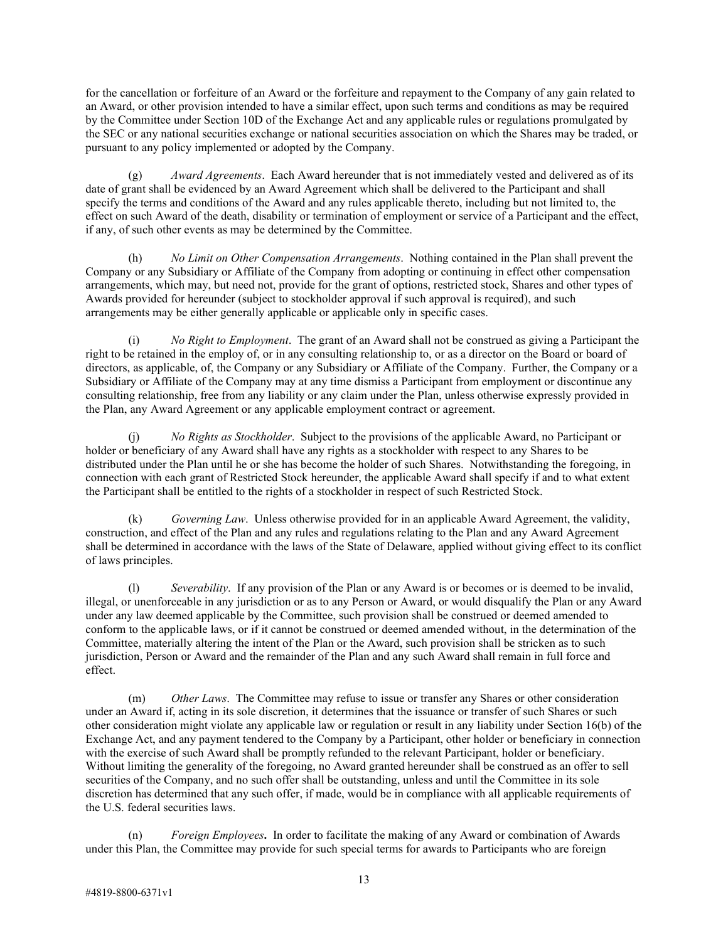for the cancellation or forfeiture of an Award or the forfeiture and repayment to the Company of any gain related to an Award, or other provision intended to have a similar effect, upon such terms and conditions as may be required by the Committee under Section 10D of the Exchange Act and any applicable rules or regulations promulgated by the SEC or any national securities exchange or national securities association on which the Shares may be traded, or pursuant to any policy implemented or adopted by the Company.

(g) *Award Agreements*. Each Award hereunder that is not immediately vested and delivered as of its date of grant shall be evidenced by an Award Agreement which shall be delivered to the Participant and shall specify the terms and conditions of the Award and any rules applicable thereto, including but not limited to, the effect on such Award of the death, disability or termination of employment or service of a Participant and the effect, if any, of such other events as may be determined by the Committee.

(h) *No Limit on Other Compensation Arrangements*. Nothing contained in the Plan shall prevent the Company or any Subsidiary or Affiliate of the Company from adopting or continuing in effect other compensation arrangements, which may, but need not, provide for the grant of options, restricted stock, Shares and other types of Awards provided for hereunder (subject to stockholder approval if such approval is required), and such arrangements may be either generally applicable or applicable only in specific cases.

(i) *No Right to Employment*. The grant of an Award shall not be construed as giving a Participant the right to be retained in the employ of, or in any consulting relationship to, or as a director on the Board or board of directors, as applicable, of, the Company or any Subsidiary or Affiliate of the Company. Further, the Company or a Subsidiary or Affiliate of the Company may at any time dismiss a Participant from employment or discontinue any consulting relationship, free from any liability or any claim under the Plan, unless otherwise expressly provided in the Plan, any Award Agreement or any applicable employment contract or agreement.

(j) *No Rights as Stockholder*. Subject to the provisions of the applicable Award, no Participant or holder or beneficiary of any Award shall have any rights as a stockholder with respect to any Shares to be distributed under the Plan until he or she has become the holder of such Shares. Notwithstanding the foregoing, in connection with each grant of Restricted Stock hereunder, the applicable Award shall specify if and to what extent the Participant shall be entitled to the rights of a stockholder in respect of such Restricted Stock.

(k) *Governing Law*. Unless otherwise provided for in an applicable Award Agreement, the validity, construction, and effect of the Plan and any rules and regulations relating to the Plan and any Award Agreement shall be determined in accordance with the laws of the State of Delaware, applied without giving effect to its conflict of laws principles.

(l) *Severability*. If any provision of the Plan or any Award is or becomes or is deemed to be invalid, illegal, or unenforceable in any jurisdiction or as to any Person or Award, or would disqualify the Plan or any Award under any law deemed applicable by the Committee, such provision shall be construed or deemed amended to conform to the applicable laws, or if it cannot be construed or deemed amended without, in the determination of the Committee, materially altering the intent of the Plan or the Award, such provision shall be stricken as to such jurisdiction, Person or Award and the remainder of the Plan and any such Award shall remain in full force and effect.

(m) *Other Laws*. The Committee may refuse to issue or transfer any Shares or other consideration under an Award if, acting in its sole discretion, it determines that the issuance or transfer of such Shares or such other consideration might violate any applicable law or regulation or result in any liability under Section 16(b) of the Exchange Act, and any payment tendered to the Company by a Participant, other holder or beneficiary in connection with the exercise of such Award shall be promptly refunded to the relevant Participant, holder or beneficiary. Without limiting the generality of the foregoing, no Award granted hereunder shall be construed as an offer to sell securities of the Company, and no such offer shall be outstanding, unless and until the Committee in its sole discretion has determined that any such offer, if made, would be in compliance with all applicable requirements of the U.S. federal securities laws.

(n) *Foreign Employees***.** In order to facilitate the making of any Award or combination of Awards under this Plan, the Committee may provide for such special terms for awards to Participants who are foreign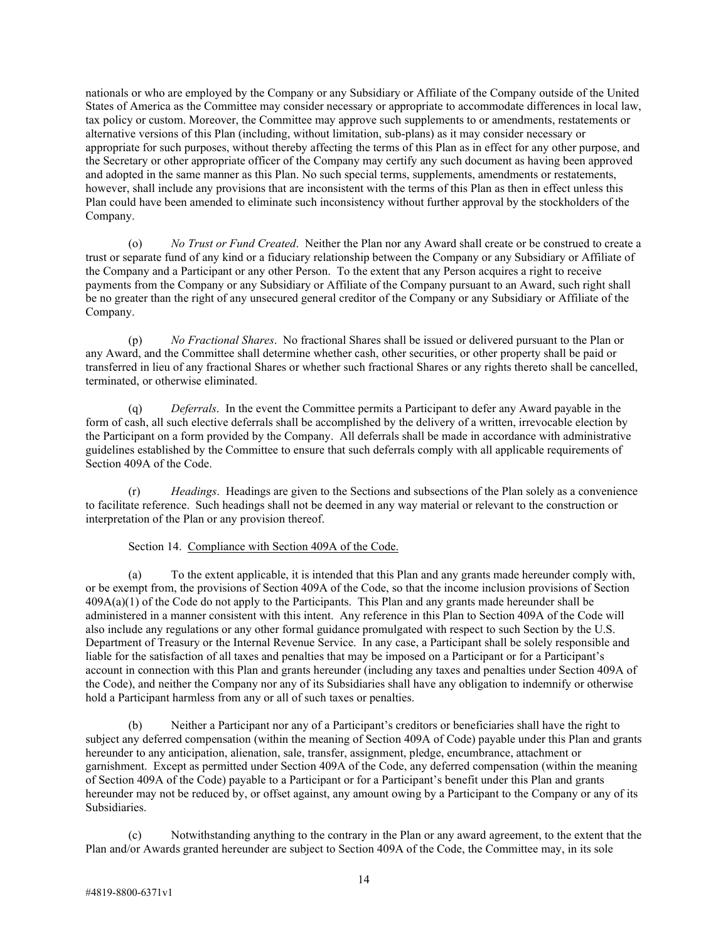nationals or who are employed by the Company or any Subsidiary or Affiliate of the Company outside of the United States of America as the Committee may consider necessary or appropriate to accommodate differences in local law, tax policy or custom. Moreover, the Committee may approve such supplements to or amendments, restatements or alternative versions of this Plan (including, without limitation, sub-plans) as it may consider necessary or appropriate for such purposes, without thereby affecting the terms of this Plan as in effect for any other purpose, and the Secretary or other appropriate officer of the Company may certify any such document as having been approved and adopted in the same manner as this Plan. No such special terms, supplements, amendments or restatements, however, shall include any provisions that are inconsistent with the terms of this Plan as then in effect unless this Plan could have been amended to eliminate such inconsistency without further approval by the stockholders of the Company.

(o) *No Trust or Fund Created*. Neither the Plan nor any Award shall create or be construed to create a trust or separate fund of any kind or a fiduciary relationship between the Company or any Subsidiary or Affiliate of the Company and a Participant or any other Person. To the extent that any Person acquires a right to receive payments from the Company or any Subsidiary or Affiliate of the Company pursuant to an Award, such right shall be no greater than the right of any unsecured general creditor of the Company or any Subsidiary or Affiliate of the Company.

(p) *No Fractional Shares*. No fractional Shares shall be issued or delivered pursuant to the Plan or any Award, and the Committee shall determine whether cash, other securities, or other property shall be paid or transferred in lieu of any fractional Shares or whether such fractional Shares or any rights thereto shall be cancelled, terminated, or otherwise eliminated.

(q) *Deferrals*. In the event the Committee permits a Participant to defer any Award payable in the form of cash, all such elective deferrals shall be accomplished by the delivery of a written, irrevocable election by the Participant on a form provided by the Company. All deferrals shall be made in accordance with administrative guidelines established by the Committee to ensure that such deferrals comply with all applicable requirements of Section 409A of the Code.

(r) *Headings*. Headings are given to the Sections and subsections of the Plan solely as a convenience to facilitate reference. Such headings shall not be deemed in any way material or relevant to the construction or interpretation of the Plan or any provision thereof.

Section 14. Compliance with Section 409A of the Code.

(a) To the extent applicable, it is intended that this Plan and any grants made hereunder comply with, or be exempt from, the provisions of Section 409A of the Code, so that the income inclusion provisions of Section  $409A(a)(1)$  of the Code do not apply to the Participants. This Plan and any grants made hereunder shall be administered in a manner consistent with this intent. Any reference in this Plan to Section 409A of the Code will also include any regulations or any other formal guidance promulgated with respect to such Section by the U.S. Department of Treasury or the Internal Revenue Service. In any case, a Participant shall be solely responsible and liable for the satisfaction of all taxes and penalties that may be imposed on a Participant or for a Participant's account in connection with this Plan and grants hereunder (including any taxes and penalties under Section 409A of the Code), and neither the Company nor any of its Subsidiaries shall have any obligation to indemnify or otherwise hold a Participant harmless from any or all of such taxes or penalties.

(b) Neither a Participant nor any of a Participant's creditors or beneficiaries shall have the right to subject any deferred compensation (within the meaning of Section 409A of Code) payable under this Plan and grants hereunder to any anticipation, alienation, sale, transfer, assignment, pledge, encumbrance, attachment or garnishment. Except as permitted under Section 409A of the Code, any deferred compensation (within the meaning of Section 409A of the Code) payable to a Participant or for a Participant's benefit under this Plan and grants hereunder may not be reduced by, or offset against, any amount owing by a Participant to the Company or any of its Subsidiaries.

(c) Notwithstanding anything to the contrary in the Plan or any award agreement, to the extent that the Plan and/or Awards granted hereunder are subject to Section 409A of the Code, the Committee may, in its sole